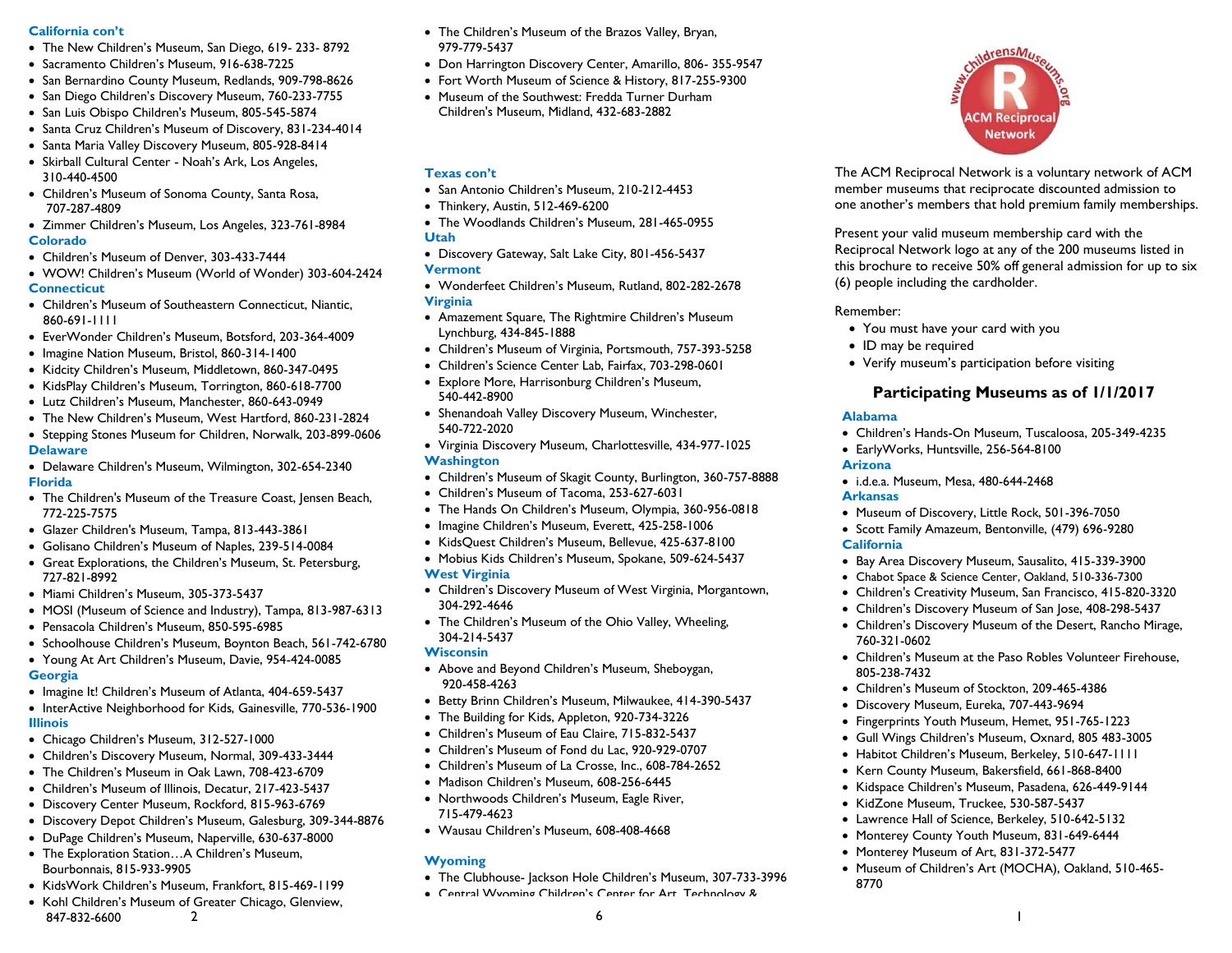### **California con't**

- The New Children's Museum, San Diego, 619- 233- 8792
- Sacramento Children's Museum, 916-638-7225
- San Bernardino County Museum, Redlands, 909-798-8626
- San Diego Children's Discovery Museum, 760-233-7755
- San Luis Obispo Children's Museum, 805-545-5874
- Santa Cruz Children's Museum of Discovery, 831-234-4014
- Santa Maria Valley Discovery Museum, 805-928-8414
- Skirball Cultural Center Noah's Ark, Los Angeles, 310-440-4500
- Children's Museum of Sonoma County, Santa Rosa, 707-287-4809
- Zimmer Children's Museum, Los Angeles, 323-761-8984 **Colorado**
- Children's Museum of Denver, 303-433-7444
- WOW! Children's Museum (World of Wonder) 303-604-2424 **Connecticut**
- Children's Museum of Southeastern Connecticut, Niantic, 860-691-1111
- EverWonder Children's Museum, Botsford, 203-364-4009
- Imagine Nation Museum, Bristol, 860-314-1400
- Kidcity Children's Museum, Middletown, 860-347-0495
- KidsPlay Children's Museum, Torrington, 860-618-7700
- Lutz Children's Museum, Manchester, 860-643-0949
- The New Children's Museum, West Hartford, 860-231-2824
- Stepping Stones Museum for Children, Norwalk, 203-899-0606 **Delaware**
- Delaware Children's Museum, Wilmington, 302-654-2340 **Florida**
- The Children's Museum of the Treasure Coast, Jensen Beach, 772-225-7575
- Glazer Children's Museum, Tampa, 813-443-3861
- Golisano Children's Museum of Naples, 239-514-0084
- Great Explorations, the Children's Museum, St. Petersburg, 727-821-8992
- Miami Children's Museum, 305-373-5437
- MOSI (Museum of Science and Industry), Tampa, 813-987-6313
- Pensacola Children's Museum, 850-595-6985
- Schoolhouse Children's Museum, Boynton Beach, 561-742-6780
- Young At Art Children's Museum, Davie, 954-424-0085
- **Georgia**
- Imagine It! Children's Museum of Atlanta, 404-659-5437
- InterActive Neighborhood for Kids, Gainesville, 770-536-1900 **Illinois**
- Chicago Children's Museum, 312-527-1000
- Children's Discovery Museum, Normal, 309-433-3444
- The Children's Museum in Oak Lawn, 708-423-6709
- Children's Museum of Illinois, Decatur, 217-423-5437
- Discovery Center Museum, Rockford, 815-963-6769
- Discovery Depot Children's Museum, Galesburg, 309-344-8876
- DuPage Children's Museum, Naperville, 630-637-8000
- The Exploration Station…A Children's Museum, Bourbonnais, 815-933-9905
- KidsWork Children's Museum, Frankfort, 815-469-1199
- Kohl Children's Museum of Greater Chicago, Glenview, 847-832-6600  $2$
- The Children's Museum of the Brazos Valley, Bryan, 979-779-5437
- Don Harrington Discovery Center, Amarillo, 806- 355-9547
- Fort Worth Museum of Science & History, 817-255-9300
- Museum of the Southwest: Fredda Turner Durham Children's Museum, Midland, 432-683-2882

## **Texas con't**

- San Antonio Children's Museum, 210-212-4453
- Thinkery, Austin, 512-469-6200
- The Woodlands Children's Museum, 281-465-0955 **Utah**
- Discovery Gateway, Salt Lake City, 801-456-5437

# **Vermont**

- Wonderfeet Children's Museum, Rutland, 802-282-2678 **Virginia**
- Amazement Square, The Rightmire Children's Museum Lynchburg, 434-845-1888
- Children's Museum of Virginia, Portsmouth, 757-393-5258
- Children's Science Center Lab, Fairfax, 703-298-0601
- Explore More, Harrisonburg Children's Museum, 540-442-8900
- Shenandoah Valley Discovery Museum, Winchester, 540-722-2020
- Virginia Discovery Museum, Charlottesville, 434-977-1025

## **Washington**

- Children's Museum of Skagit County, Burlington, 360-757-8888
- Children's Museum of Tacoma, 253-627-6031
- The Hands On Children's Museum, Olympia, 360-956-0818
- Imagine Children's Museum, Everett, 425-258-1006
- KidsQuest Children's Museum, Bellevue, 425-637-8100
- Mobius Kids Children's Museum, Spokane, 509-624-5437

## **West Virginia**

- Children's Discovery Museum of West Virginia, Morgantown, 304-292-4646
- The Children's Museum of the Ohio Valley, Wheeling, 304-214-5437

## **Wisconsin**

- Above and Beyond Children's Museum, Sheboygan, 920-458-4263
- Betty Brinn Children's Museum, Milwaukee, 414-390-5437
- The Building for Kids, Appleton, 920-734-3226
- Children's Museum of Eau Claire, 715-832-5437
- Children's Museum of Fond du Lac, 920-929-0707
- Children's Museum of La Crosse, Inc., 608-784-2652
- Madison Children's Museum, 608-256-6445
- Northwoods Children's Museum, Eagle River, 715-479-4623
- Wausau Children's Museum, 608-408-4668

## **Wyoming**

- The Clubhouse- Jackson Hole Children's Museum, 307-733-3996
- Central Wyoming Children's Center for Art, Technology &



The ACM Reciprocal Network is a voluntary network of ACM member museums that reciprocate discounted admission to one another's members that hold premium family memberships.

Present your valid museum membership card with the Reciprocal Network logo at any of the 200 museums listed in this brochure to receive 50% off general admission for up to six (6) people including the cardholder.

## Remember:

- You must have your card with you
- ID may be required
- Verify museum's participation before visiting

# Participating Museums as of 1/1/2017

#### **Alabama**

- Children's Hands-On Museum, Tuscaloosa, 205-349-4235
- EarlyWorks, Huntsville, 256-564-8100 **Arizona**
- i.d.e.a. Museum, Mesa, 480-644-2468 **Arkansas**
- Museum of Discovery, Little Rock, 501-396-7050

 Children's Museum of Stockton, 209-465-4386 Discovery Museum, Eureka, 707-443-9694 Fingerprints Youth Museum, Hemet, 951-765-1223 Gull Wings Children's Museum, Oxnard, 805 483-3005 Habitot Children's Museum, Berkeley, 510-647-1111 Kern County Museum, Bakersfield, 661-868-8400 • Kidspace Children's Museum, Pasadena, 626-449-9144

• KidZone Museum, Truckee, 530-587-5437 Lawrence Hall of Science, Berkeley, 510-642-5132 • Monterey County Youth Museum, 831-649-6444 • Monterey Museum of Art, 831-372-5477

• Scott Family Amazeum, Bentonville, (479) 696-9280

# **California**

760-321-0602

805-238-7432

8770

• Bay Area Discovery Museum, Sausalito, 415-339-3900 Chabot Space & Science Center, Oakland, 510-336-7300

 Children's Creativity Museum, San Francisco, 415-820-3320 Children's Discovery Museum of San Jose, 408-298-5437 Children's Discovery Museum of the Desert, Rancho Mirage,

Children's Museum at the Paso Robles Volunteer Firehouse,

Museum of Children's Art (MOCHA), Oakland, 510-465-